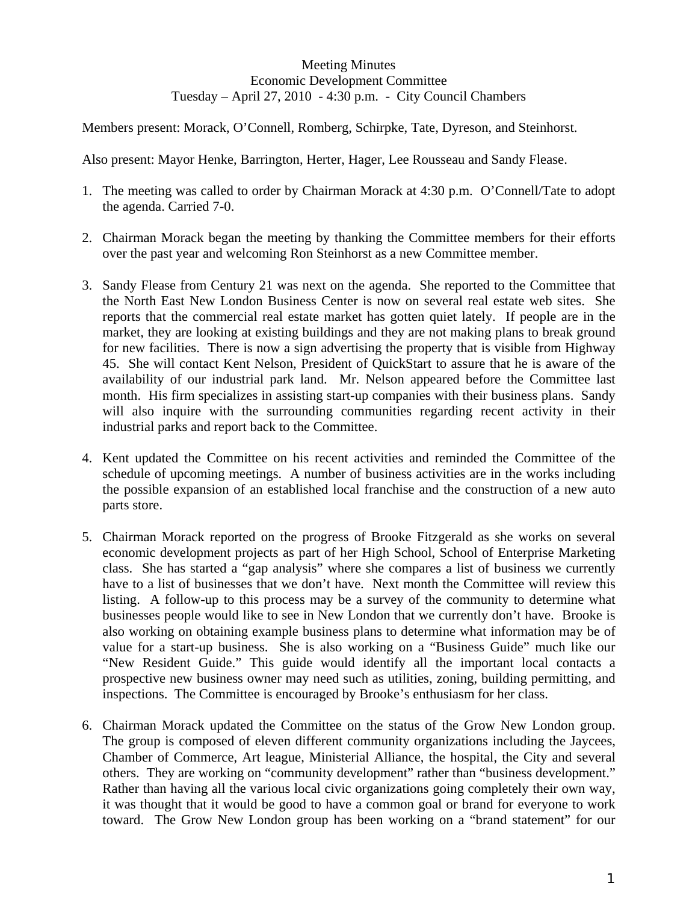## Meeting Minutes Economic Development Committee Tuesday – April 27, 2010 - 4:30 p.m. - City Council Chambers

Members present: Morack, O'Connell, Romberg, Schirpke, Tate, Dyreson, and Steinhorst.

Also present: Mayor Henke, Barrington, Herter, Hager, Lee Rousseau and Sandy Flease.

- 1. The meeting was called to order by Chairman Morack at 4:30 p.m. O'Connell/Tate to adopt the agenda. Carried 7-0.
- 2. Chairman Morack began the meeting by thanking the Committee members for their efforts over the past year and welcoming Ron Steinhorst as a new Committee member.
- 3. Sandy Flease from Century 21 was next on the agenda. She reported to the Committee that the North East New London Business Center is now on several real estate web sites. She reports that the commercial real estate market has gotten quiet lately. If people are in the market, they are looking at existing buildings and they are not making plans to break ground for new facilities. There is now a sign advertising the property that is visible from Highway 45. She will contact Kent Nelson, President of QuickStart to assure that he is aware of the availability of our industrial park land. Mr. Nelson appeared before the Committee last month. His firm specializes in assisting start-up companies with their business plans. Sandy will also inquire with the surrounding communities regarding recent activity in their industrial parks and report back to the Committee.
- 4. Kent updated the Committee on his recent activities and reminded the Committee of the schedule of upcoming meetings. A number of business activities are in the works including the possible expansion of an established local franchise and the construction of a new auto parts store.
- 5. Chairman Morack reported on the progress of Brooke Fitzgerald as she works on several economic development projects as part of her High School, School of Enterprise Marketing class. She has started a "gap analysis" where she compares a list of business we currently have to a list of businesses that we don't have. Next month the Committee will review this listing. A follow-up to this process may be a survey of the community to determine what businesses people would like to see in New London that we currently don't have. Brooke is also working on obtaining example business plans to determine what information may be of value for a start-up business. She is also working on a "Business Guide" much like our "New Resident Guide." This guide would identify all the important local contacts a prospective new business owner may need such as utilities, zoning, building permitting, and inspections. The Committee is encouraged by Brooke's enthusiasm for her class.
- 6. Chairman Morack updated the Committee on the status of the Grow New London group. The group is composed of eleven different community organizations including the Jaycees, Chamber of Commerce, Art league, Ministerial Alliance, the hospital, the City and several others. They are working on "community development" rather than "business development." Rather than having all the various local civic organizations going completely their own way, it was thought that it would be good to have a common goal or brand for everyone to work toward. The Grow New London group has been working on a "brand statement" for our